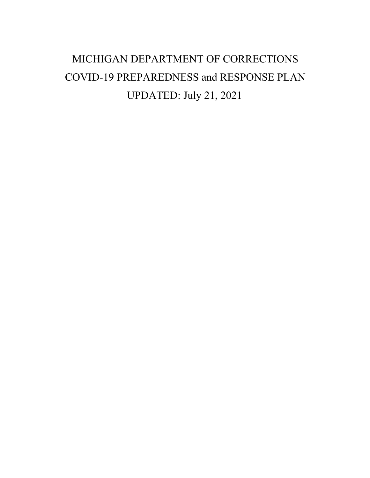# MICHIGAN DEPARTMENT OF CORRECTIONS COVID-19 PREPAREDNESS and RESPONSE PLAN UPDATED: July 21, 2021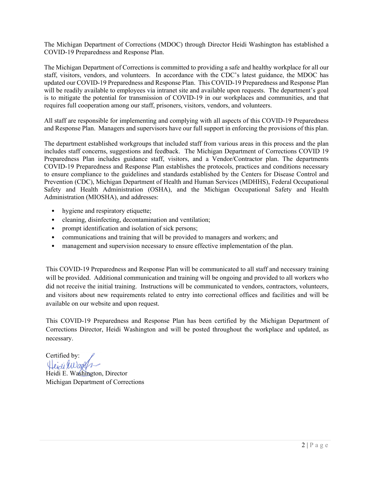The Michigan Department of Corrections (MDOC) through Director Heidi Washington has established a COVID-19 Preparedness and Response Plan.

The Michigan Department of Corrections is committed to providing a safe and healthy workplace for all our staff, visitors, vendors, and volunteers. In accordance with the CDC's latest guidance, the MDOC has updated our COVID-19 Preparedness and Response Plan. This COVID-19 Preparedness and Response Plan will be readily available to employees via intranet site and available upon requests. The department's goal is to mitigate the potential for transmission of COVID-19 in our workplaces and communities, and that requires full cooperation among our staff, prisoners, visitors, vendors, and volunteers.

All staff are responsible for implementing and complying with all aspects of this COVID-19 Preparedness and Response Plan. Managers and supervisors have our full support in enforcing the provisions of this plan.

The department established workgroups that included staff from various areas in this process and the plan includes staff concerns, suggestions and feedback. The Michigan Department of Corrections COVID 19 Preparedness Plan includes guidance staff, visitors, and a Vendor/Contractor plan. The departments COVID-19 Preparedness and Response Plan establishes the protocols, practices and conditions necessary to ensure compliance to the guidelines and standards established by the Centers for Disease Control and Prevention (CDC), Michigan Department of Health and Human Services (MDHHS), Federal Occupational Safety and Health Administration (OSHA), and the Michigan Occupational Safety and Health Administration (MIOSHA), and addresses:

- hygiene and respiratory etiquette;
- cleaning, disinfecting, decontamination and ventilation;
- prompt identification and isolation of sick persons;
- communications and training that will be provided to managers and workers; and
- management and supervision necessary to ensure effective implementation of the plan.

This COVID-19 Preparedness and Response Plan will be communicated to all staff and necessary training will be provided. Additional communication and training will be ongoing and provided to all workers who did not receive the initial training. Instructions will be communicated to vendors, contractors, volunteers, and visitors about new requirements related to entry into correctional offices and facilities and will be available on our website and upon request.

This COVID-19 Preparedness and Response Plan has been certified by the Michigan Department of Corrections Director, Heidi Washington and will be posted throughout the workplace and updated, as necessary.

Certified by:<br>Heidi Wash

Heidi E. Washington, Director Michigan Department of Corrections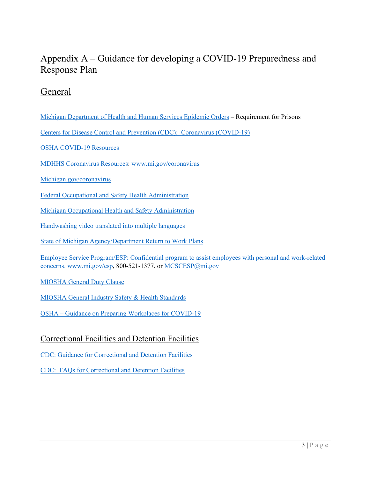## Appendix A – Guidance for developing a COVID-19 Preparedness and Response Plan

#### General

[Michigan Department of Health and Human Services Epidemic Orders](https://www.michigan.gov/coronavirus/0,9753,7-406-98178_98455-533660--,00.html) – Requirement for Prisons

[Centers for Disease Control and Prevention \(CDC\): Coronavirus \(COVID-19\)](http://www.cdc.gov/coronavirus/2019-nCoV) 

[OSHA COVID-19 Resources](https://www.osha.gov/SLTC/covid-19/hazardrecognition.html)

MDHHS Coronavirus Resources: [www.mi.gov/coronavirus](https://gcc02.safelinks.protection.outlook.com/?url=http%3A%2F%2Fwww.mi.gov%2Fcoronavirus&data=04%7C01%7CPlathE%40michigan.gov%7Cddee74bcbf01408c225208d942edb9d3%7Cd5fb7087377742ad966a892ef47225d1%7C0%7C0%7C637614411929516381%7CUnknown%7CTWFpbGZsb3d8eyJWIjoiMC4wLjAwMDAiLCJQIjoiV2luMzIiLCJBTiI6Ik1haWwiLCJXVCI6Mn0%3D%7C1000&sdata=TSE1ANr5yj5nkPubgkmKPlSA01zBa%2B2orwuD6C%2FM7nk%3D&reserved=0)

[Michigan.gov/coronavirus](https://gcc02.safelinks.protection.outlook.com/?url=https%3A%2F%2Fwww.michigan.gov%2Fcoronavirus%2F0%2C9753%2C7-406-98178_98455---%2C00.html&data=04%7C01%7CPlathE%40michigan.gov%7Cddee74bcbf01408c225208d942edb9d3%7Cd5fb7087377742ad966a892ef47225d1%7C0%7C0%7C637614411929516381%7CUnknown%7CTWFpbGZsb3d8eyJWIjoiMC4wLjAwMDAiLCJQIjoiV2luMzIiLCJBTiI6Ik1haWwiLCJXVCI6Mn0%3D%7C1000&sdata=hhXERDgaWK5n4mMVxCBmhkaVEYw%2Bxug1KkgJQjG019g%3D&reserved=0)

[Federal Occupational and Safety Health Administration](http://www.osha.gov/)

[Michigan Occupational Health and Safety Administration](https://www.michigan.gov/leo)

[Handwashing video translated into](http://www.youtube.com/watch?v=LdQuPGVcceg) multiple languages

[State of Michigan Agency/Department Return to Work Plans](https://www.michigan.gov/ose/0,4656,7-143--533755--U,00.html)

[Employee Service Program/ESP: Confidential program to assist employees with personal and work-related](http://www.mi.gov/esp)  [concerns.](http://www.mi.gov/esp) [www.mi.gov/esp,](http://www.mi.gov/esp) 800-521-1377, or [MCSCESP@mi.gov](mailto:MCSCESP@mi.gov)

[MIOSHA General Duty Clause](http://www.legislature.mi.gov/(S(f35trrzeeefsfopw1engb1g3))/mileg.aspx?page=getObject&objectName=mcl-408-1011)

[MIOSHA General Industry Safety & Health Standards](https://www.michigan.gov/leo/0,5863,7-336-94422_11407_15368-39941--,00.html)

OSHA – [Guidance on Preparing Workplaces for COVID-19](https://www.osha.gov/Publications/OSHA3990.pdf)

#### Correctional Facilities and Detention Facilities

[CDC: Guidance for Correctional and Detention Facilities](https://www.cdc.gov/coronavirus/2019-ncov/community/correction-detention/index.html) 

[CDC: FAQs for Correctional and Detention Facilities](https://www.cdc.gov/coronavirus/2019-ncov/community/correction-detention/faq.html)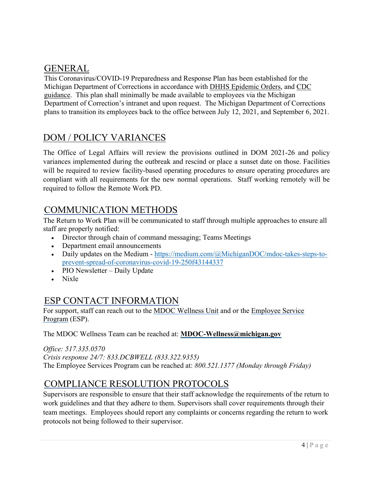#### GENERAL

This Coronavirus/COVID-19 Preparedness and Response Plan has been established for the Michigan Department of Corrections in accordance with [DHHS Epidemic Orders,](https://gcc01.safelinks.protection.outlook.com/?url=https%3A%2F%2Fwww.michigan.gov%2Fcoronavirus%2F0%2C9753%2C7-406-98178_98455-533660--%2C00.html&data=04%7C01%7CCARROLLT%40michigan.gov%7C2f617e6f4f5642a5a93a08d877598a44%7Cd5fb7087377742ad966a892ef47225d1%7C0%7C0%7C637390573735080461%7CUnknown%7CTWFpbGZsb3d8eyJWIjoiMC4wLjAwMDAiLCJQIjoiV2luMzIiLCJBTiI6Ik1haWwiLCJXVCI6Mn0%3D%7C1000&sdata=Z84kx6hypfw%2Bt4btTMkmh6wrj8XpfN%2B1nesyBGh6p%2BA%3D&reserved=0) and [CDC](https://gcc01.safelinks.protection.outlook.com/?url=https%3A%2F%2Fwww.cdc.gov%2Fcoronavirus%2F2019-nCoV%2Findex.html&data=04%7C01%7CCARROLLT%40michigan.gov%7C2f617e6f4f5642a5a93a08d877598a44%7Cd5fb7087377742ad966a892ef47225d1%7C0%7C0%7C637390573735090414%7CUnknown%7CTWFpbGZsb3d8eyJWIjoiMC4wLjAwMDAiLCJQIjoiV2luMzIiLCJBTiI6Ik1haWwiLCJXVCI6Mn0%3D%7C1000&sdata=1W5Czs6IpDPMy0ceYBjXv5Yd4TDyuwyQiyrB8FQghi4%3D&reserved=0)  [guidance.](https://gcc01.safelinks.protection.outlook.com/?url=https%3A%2F%2Fwww.cdc.gov%2Fcoronavirus%2F2019-nCoV%2Findex.html&data=04%7C01%7CCARROLLT%40michigan.gov%7C2f617e6f4f5642a5a93a08d877598a44%7Cd5fb7087377742ad966a892ef47225d1%7C0%7C0%7C637390573735090414%7CUnknown%7CTWFpbGZsb3d8eyJWIjoiMC4wLjAwMDAiLCJQIjoiV2luMzIiLCJBTiI6Ik1haWwiLCJXVCI6Mn0%3D%7C1000&sdata=1W5Czs6IpDPMy0ceYBjXv5Yd4TDyuwyQiyrB8FQghi4%3D&reserved=0) This plan shall minimally be made available to employees via the Michigan Department of Correction's intranet and upon request. The Michigan Department of Corrections plans to transition its employees back to the office between July 12, 2021, and September 6, 2021.

## DOM / POLICY VARIANCES

The Office of Legal Affairs will review the provisions outlined in DOM 2021-26 and policy variances implemented during the outbreak and rescind or place a sunset date on those. Facilities will be required to review facility-based operating procedures to ensure operating procedures are compliant with all requirements for the new normal operations. Staff working remotely will be required to follow the Remote Work PD.

## COMMUNICATION METHODS

The Return to Work Plan will be communicated to staff through multiple approaches to ensure all staff are properly notified:

- Director through chain of command messaging; Teams Meetings
- Department email announcements
- Daily updates on the Medium [https://medium.com/@MichiganDOC/mdoc-takes-steps-to](https://medium.com/@MichiganDOC/mdoc-takes-steps-to-prevent-spread-of-coronavirus-covid-19-250f43144337)[prevent-spread-of-coronavirus-covid-19-250f43144337](https://medium.com/@MichiganDOC/mdoc-takes-steps-to-prevent-spread-of-coronavirus-covid-19-250f43144337)
- PIO Newsletter Daily Update
- Nixle

#### ESP CONTACT INFORMATION

For support, staff can reach out to the [MDOC Wellness Unit](https://www.michigan.gov/corrections/0%2C4551%2C7-119-96900---%2C00.html) and or the [Employee Service](https://www.michigan.gov/mdcs/0%2C4614%2C7-147-22854_29351---%2C00.html)  [Program](https://www.michigan.gov/mdcs/0%2C4614%2C7-147-22854_29351---%2C00.html) (ESP).

The MDOC Wellness Team can be reached at: **[MDOC-Wellness@michigan.gov](mailto:MDOC-Wellness@michigan.gov)**

*Office: 517.335.0570 Crisis response 24/7: 833.DCBWELL (833.322.9355)* The Employee Services Program can be reached at: *800.521.1377 (Monday through Friday)*

## COMPLIANCE RESOLUTION PROTOCOLS

Supervisors are responsible to ensure that their staff acknowledge the requirements of the return to work guidelines and that they adhere to them. Supervisors shall cover requirements through their team meetings. Employees should report any complaints or concerns regarding the return to work protocols not being followed to their supervisor.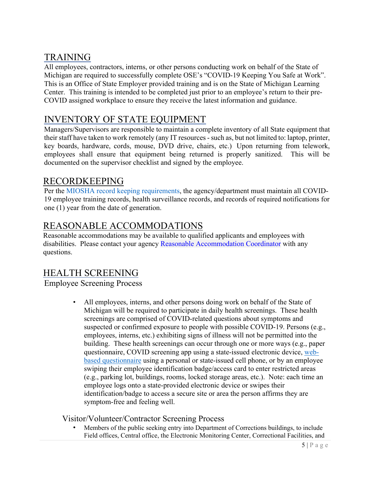## TRAINING

All employees, contractors, interns, or other persons conducting work on behalf of the State of Michigan are required to successfully complete OSE's "COVID-19 Keeping You Safe at Work". This is an Office of State Employer provided training and is on the State of Michigan Learning Center. This training is intended to be completed just prior to an employee's return to their pre-COVID assigned workplace to ensure they receive the latest information and guidance.

## INVENTORY OF STATE EQUIPMENT

Managers/Supervisors are responsible to maintain a complete inventory of all State equipment that their staff have taken to work remotely (any IT resources - such as, but not limited to: laptop, printer, key boards, hardware, cords, mouse, DVD drive, chairs, etc.) Upon returning from telework, employees shall ensure that equipment being returned is properly sanitized. This will be documented on the supervisor checklist and signed by the employee.

## RECORDKEEPING

Per the MIOSHA record keeping requirements, the agency/department must maintain all COVID-19 employee training records, health surveillance records, and records of required notifications for one (1) year from the date of generation.

## REASONABLE ACCOMMODATIONS

Reasonable accommodations may be available to qualified applicants and employees with disabilities. Please contact your agency [Reasonable Accommodation Coordinator](https://gcc02.safelinks.protection.outlook.com/ap/b-59584e83/?url=https%3A%2F%2Fstateofmichigan.sharepoint.com%2F%3Ab%3A%2Fr%2Fteams%2Finsideose%2FLabor%2520Relations%2FDisabilities%2FADA%2520Title%2520I%2520-%2520Reasonable%2520Accommodation%2520Coordinators%2520(RACs).pdf%3Fcsf%3D1%26web%3D1%26e%3Do7Fbwb&data=04%7C01%7CPlathE%40michigan.gov%7Cddee74bcbf01408c225208d942edb9d3%7Cd5fb7087377742ad966a892ef47225d1%7C0%7C0%7C637614411929466590%7CUnknown%7CTWFpbGZsb3d8eyJWIjoiMC4wLjAwMDAiLCJQIjoiV2luMzIiLCJBTiI6Ik1haWwiLCJXVCI6Mn0%3D%7C1000&sdata=weYyL3F1c20rjTpGjZQLrQPt%2FR5kUuLxXVZNSbglMVg%3D&reserved=0) with any questions.

## HEALTH SCREENING

#### Employee Screening Process

All employees, interns, and other persons doing work on behalf of the State of Michigan will be required to participate in daily health screenings. These health screenings are comprised of COVID-related questions about symptoms and suspected or confirmed exposure to people with possible COVID-19. Persons (e.g., employees, interns, etc.) exhibiting signs of illness will not be permitted into the building. These health screenings can occur through one or more ways (e.g., paper questionnaire, COVID screening app using a state-issued electronic device, [web](https://gcc02.safelinks.protection.outlook.com/?url=https%3A%2F%2Fdtmb.state.mi.us%2FDTMB_CovidWebApp%2F&data=04%7C01%7CPlathE%40michigan.gov%7Cddee74bcbf01408c225208d942edb9d3%7Cd5fb7087377742ad966a892ef47225d1%7C0%7C0%7C637614411929466590%7CUnknown%7CTWFpbGZsb3d8eyJWIjoiMC4wLjAwMDAiLCJQIjoiV2luMzIiLCJBTiI6Ik1haWwiLCJXVCI6Mn0%3D%7C1000&sdata=iQkZ4fvm%2FUZ%2FCiiKb5%2FtWCuHwUQJrZH0zWo9A%2B5xwB8%3D&reserved=0)[based questionnaire](https://gcc02.safelinks.protection.outlook.com/?url=https%3A%2F%2Fdtmb.state.mi.us%2FDTMB_CovidWebApp%2F&data=04%7C01%7CPlathE%40michigan.gov%7Cddee74bcbf01408c225208d942edb9d3%7Cd5fb7087377742ad966a892ef47225d1%7C0%7C0%7C637614411929466590%7CUnknown%7CTWFpbGZsb3d8eyJWIjoiMC4wLjAwMDAiLCJQIjoiV2luMzIiLCJBTiI6Ik1haWwiLCJXVCI6Mn0%3D%7C1000&sdata=iQkZ4fvm%2FUZ%2FCiiKb5%2FtWCuHwUQJrZH0zWo9A%2B5xwB8%3D&reserved=0) using a personal or state-issued cell phone, or by an employee swiping their employee identification badge/access card to enter restricted areas (e.g., parking lot, buildings, rooms, locked storage areas, etc.). Note: each time an employee logs onto a state-provided electronic device or swipes their identification/badge to access a secure site or area the person affirms they are symptom-free and feeling well.

#### Visitor/Volunteer/Contractor Screening Process

• Members of the public seeking entry into Department of Corrections buildings, to include Field offices, Central office, the Electronic Monitoring Center, Correctional Facilities, and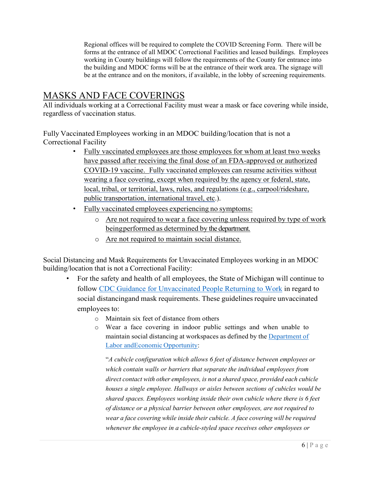Regional offices will be required to complete the COVID Screening Form. There will be forms at the entrance of all MDOC Correctional Facilities and leased buildings. Employees working in County buildings will follow the requirements of the County for entrance into the building and MDOC forms will be at the entrance of their work area. The signage will be at the entrance and on the monitors, if available, in the lobby of screening requirements.

## MASKS AND FACE COVERINGS

All individuals working at a Correctional Facility must wear a mask or face covering while inside, regardless of vaccination status.

Fully Vaccinated Employees working in an MDOC building/location that is not a Correctional Facility

- Fully vaccinated employees are those employees for whom at least two weeks have passed after receiving the final dose of an FDA-approved or authorized COVID-19 vaccine. Fully vaccinated employees can resume activities without wearing a face covering, except when required by the agency or federal, state, local, tribal, or territorial, laws, rules, and regulations (e.g., carpool/rideshare, public transportation, international travel, etc.).
- Fully vaccinated employees experiencing no symptoms:
	- o Are not required to wear a face covering unless required by type of work beingperformed as determined by the department.
	- o Are not required to maintain social distance.

Social Distancing and Mask Requirements for Unvaccinated Employees working in an MDOC building/location that is not a Correctional Facility:

- For the safety and health of all employees, the State of Michigan will continue to follow [CDC Guidance for Unvaccinated People Returning to Work](https://www.cdc.gov/coronavirus/2019-ncov/daily-life-coping/returning-to-work.html) in regard to social distancingand mask requirements. These guidelines require unvaccinated employees to:
	- o Maintain six feet of distance from others
	- o Wear a face covering in indoor public settings and when unable to maintain social distancing at workspaces as defined by the [Department of](https://www.michigan.gov/leo/0%2C5863%2C7-336-100207_103271_104453-542675--%2C00.html#%3A%7E%3Atext%3DA%20face%20covering%20will%20be%2Cthe%20employee%20and%20the%20visitor)  Labor and Economic [Opportunity:](https://www.michigan.gov/leo/0%2C5863%2C7-336-100207_103271_104453-542675--%2C00.html#%3A%7E%3Atext%3DA%20face%20covering%20will%20be%2Cthe%20employee%20and%20the%20visitor)

"*A cubicle configuration which allows 6 feet of distance between employees or which contain walls or barriers that separate the individual employees from direct contact with other employees, is not a shared space, provided each cubicle houses a single employee. Hallways or aisles between sections of cubicles would be shared spaces. Employees working inside their own cubicle where there is 6 feet of distance or a physical barrier between other employees, are not required to wear a face covering while inside their cubicle. A face covering will be required whenever the employee in a cubicle-styled space receives other employees or*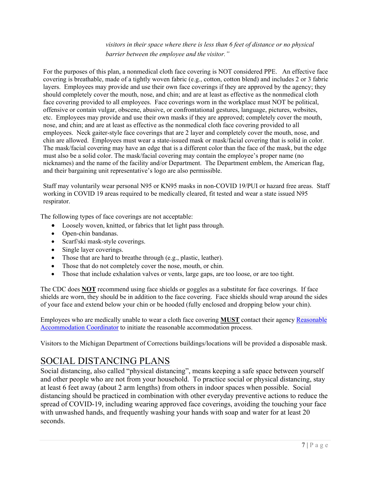*visitors in their space where there is less than 6 feet of distance or no physical barrier between the employee and the visitor."*

For the purposes of this plan, a nonmedical cloth face covering is NOT considered PPE. An effective face covering is breathable, made of a tightly woven fabric (e.g., cotton, cotton blend) and includes 2 or 3 fabric layers. Employees may provide and use their own face coverings if they are approved by the agency; they should completely cover the mouth, nose, and chin; and are at least as effective as the nonmedical cloth face covering provided to all employees. Face coverings worn in the workplace must NOT be political, offensive or contain vulgar, obscene, abusive, or confrontational gestures, language, pictures, websites, etc. Employees may provide and use their own masks if they are approved; completely cover the mouth, nose, and chin; and are at least as effective as the nonmedical cloth face covering provided to all employees. Neck gaiter-style face coverings that are 2 layer and completely cover the mouth, nose, and chin are allowed. Employees must wear a state-issued mask or mask/facial covering that is solid in color. The mask/facial covering may have an edge that is a different color than the face of the mask, but the edge must also be a solid color. The mask/facial covering may contain the employee's proper name (no nicknames) and the name of the facility and/or Department. The Department emblem, the American flag, and their bargaining unit representative's logo are also permissible.

Staff may voluntarily wear personal N95 or KN95 masks in non-COVID 19/PUI or hazard free areas. Staff working in COVID 19 areas required to be medically cleared, fit tested and wear a state issued N95 respirator.

The following types of face coverings are not acceptable:

- Loosely woven, knitted, or fabrics that let light pass through.
- Open-chin bandanas.
- Scarf/ski mask-style coverings.
- Single layer coverings.
- Those that are hard to breathe through (e.g., plastic, leather).
- Those that do not completely cover the nose, mouth, or chin.
- Those that include exhalation valves or vents, large gaps, are too loose, or are too tight.

The CDC does **NOT** recommend using face shields or goggles as a substitute for face coverings. If face shields are worn, they should be in addition to the face covering. Face shields should wrap around the sides of your face and extend below your chin or be hooded (fully enclosed and dropping below your chin).

Employees who are medically unable to wear a cloth face covering **MUST** contact their agency [Reasonable](https://gcc02.safelinks.protection.outlook.com/ap/b-59584e83/?url=https%3A%2F%2Fstateofmichigan.sharepoint.com%2F%3Ab%3A%2Fr%2Fteams%2Finsideose%2FLabor%2520Relations%2FDisabilities%2FADA%2520Title%2520I%2520-%2520Reasonable%2520Accommodation%2520Coordinators%2520(RACs).pdf%3Fcsf%3D1%26web%3D1%26e%3Do7Fbwb&data=04%7C01%7CPlathE%40michigan.gov%7Cddee74bcbf01408c225208d942edb9d3%7Cd5fb7087377742ad966a892ef47225d1%7C0%7C0%7C637614411929456634%7CUnknown%7CTWFpbGZsb3d8eyJWIjoiMC4wLjAwMDAiLCJQIjoiV2luMzIiLCJBTiI6Ik1haWwiLCJXVCI6Mn0%3D%7C1000&sdata=7pFor7VgHjg1pgcdA3ue3VqTQe1HUWgOwV7UPmLRRpw%3D&reserved=0)  [Accommodation Coordinator](https://gcc02.safelinks.protection.outlook.com/ap/b-59584e83/?url=https%3A%2F%2Fstateofmichigan.sharepoint.com%2F%3Ab%3A%2Fr%2Fteams%2Finsideose%2FLabor%2520Relations%2FDisabilities%2FADA%2520Title%2520I%2520-%2520Reasonable%2520Accommodation%2520Coordinators%2520(RACs).pdf%3Fcsf%3D1%26web%3D1%26e%3Do7Fbwb&data=04%7C01%7CPlathE%40michigan.gov%7Cddee74bcbf01408c225208d942edb9d3%7Cd5fb7087377742ad966a892ef47225d1%7C0%7C0%7C637614411929456634%7CUnknown%7CTWFpbGZsb3d8eyJWIjoiMC4wLjAwMDAiLCJQIjoiV2luMzIiLCJBTiI6Ik1haWwiLCJXVCI6Mn0%3D%7C1000&sdata=7pFor7VgHjg1pgcdA3ue3VqTQe1HUWgOwV7UPmLRRpw%3D&reserved=0) to initiate the reasonable accommodation process.

Visitors to the Michigan Department of Corrections buildings/locations will be provided a disposable mask.

## SOCIAL DISTANCING PLANS

Social distancing, also called "physical distancing", means keeping a safe space between yourself and other people who are not from your household. To practice social or physical distancing, stay at least 6 feet away (about 2 arm lengths) from others in indoor spaces when possible. Social distancing should be practiced in combination with other everyday preventive actions to reduce the spread of COVID-19, including wearing approved face coverings, avoiding the touching your face with unwashed hands, and frequently washing your hands with soap and water for at least 20 seconds.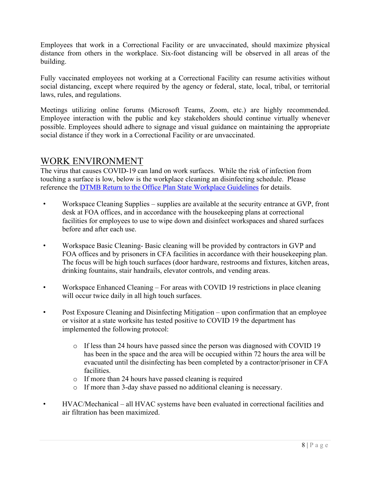Employees that work in a Correctional Facility or are unvaccinated, should maximize physical distance from others in the workplace. Six-foot distancing will be observed in all areas of the building.

Fully vaccinated employees not working at a Correctional Facility can resume activities without social distancing, except where required by the agency or federal, state, local, tribal, or territorial laws, rules, and regulations.

Meetings utilizing online forums (Microsoft Teams, Zoom, etc.) are highly recommended. Employee interaction with the public and key stakeholders should continue virtually whenever possible. Employees should adhere to signage and visual guidance on maintaining the appropriate social distance if they work in a Correctional Facility or are unvaccinated.

#### WORK ENVIRONMENT

The virus that causes COVID-19 can land on work surfaces. While the risk of infection from touching a surface is low, below is the workplace cleaning an disinfecting schedule. Please reference the [DTMB Return to the Office Plan State Workplace Guidelines](https://gcc02.safelinks.protection.outlook.com/ap/b-59584e83/?url=https%3A%2F%2Fstateofmichigan.sharepoint.com%2Fteams%2Finsidemi%2Ffacilities%2FFacility%2520Guidelines%2520and%2520Forms%2FRTO%2520%2520State%2520Worksite%2520Responsibilities%2520and%2520Guidelines%25206%252017%252021.pdf%3Fe%3D4%253aa6a95354430f420cbb11dba08007182e%26CT%3D1625162170984%26OR%3DOutlook-Body%26CID%3D621D6D0E-3B7B-42CA-9124-957EC4A26F7F&data=04%7C01%7CPlathE%40michigan.gov%7Cddee74bcbf01408c225208d942edb9d3%7Cd5fb7087377742ad966a892ef47225d1%7C0%7C0%7C637614411929436725%7CUnknown%7CTWFpbGZsb3d8eyJWIjoiMC4wLjAwMDAiLCJQIjoiV2luMzIiLCJBTiI6Ik1haWwiLCJXVCI6Mn0%3D%7C1000&sdata=w7VLzj4eTwENZML3bbOuuhUf2YgYwSYZrxBeI12O1Fw%3D&reserved=0) for details.

- Workspace Cleaning Supplies supplies are available at the security entrance at GVP, front desk at FOA offices, and in accordance with the housekeeping plans at correctional facilities for employees to use to wipe down and disinfect workspaces and shared surfaces before and after each use.
- Workspace Basic Cleaning- Basic cleaning will be provided by contractors in GVP and FOA offices and by prisoners in CFA facilities in accordance with their housekeeping plan. The focus will be high touch surfaces (door hardware, restrooms and fixtures, kitchen areas, drinking fountains, stair handrails, elevator controls, and vending areas.
- Workspace Enhanced Cleaning For areas with COVID 19 restrictions in place cleaning will occur twice daily in all high touch surfaces.
- Post Exposure Cleaning and Disinfecting Mitigation upon confirmation that an employee or visitor at a state worksite has tested positive to COVID 19 the department has implemented the following protocol:
	- o If less than 24 hours have passed since the person was diagnosed with COVID 19 has been in the space and the area will be occupied within 72 hours the area will be evacuated until the disinfecting has been completed by a contractor/prisoner in CFA facilities.
	- o If more than 24 hours have passed cleaning is required
	- o If more than 3-day shave passed no additional cleaning is necessary.
- HVAC/Mechanical all HVAC systems have been evaluated in correctional facilities and air filtration has been maximized.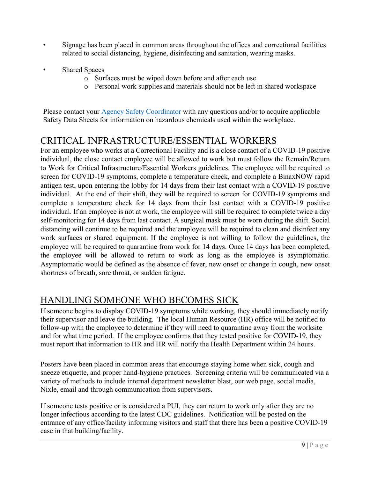- Signage has been placed in common areas throughout the offices and correctional facilities related to social distancing, hygiene, disinfecting and sanitation, wearing masks.
- Shared Spaces
	- o Surfaces must be wiped down before and after each use
	- o Personal work supplies and materials should not be left in shared workspace

Please contact your [Agency Safety Coordinator](https://gcc02.safelinks.protection.outlook.com/?url=https%3A%2F%2Fwww.michigan.gov%2Fdocuments%2Fose%2FSafety_Coordinators_495431_7.pdf%3F20150728101743&data=04%7C01%7CPlathE%40michigan.gov%7Cddee74bcbf01408c225208d942edb9d3%7Cd5fb7087377742ad966a892ef47225d1%7C0%7C0%7C637614411929446677%7CUnknown%7CTWFpbGZsb3d8eyJWIjoiMC4wLjAwMDAiLCJQIjoiV2luMzIiLCJBTiI6Ik1haWwiLCJXVCI6Mn0%3D%7C1000&sdata=GsXhpyeSvq%2FsjrJTGnwx8l0VAfl6SdEY%2FDqqda6TyKA%3D&reserved=0) with any questions and/or to acquire applicable Safety Data Sheets for information on hazardous chemicals used within the workplace.

## CRITICAL INFRASTRUCTURE/ESSENTIAL WORKERS

For an employee who works at a Correctional Facility and is a close contact of a COVID-19 positive individual, the close contact employee will be allowed to work but must follow the Remain/Return to Work for Critical Infrastructure/Essential Workers guidelines. The employee will be required to screen for COVID-19 symptoms, complete a temperature check, and complete a BinaxNOW rapid antigen test, upon entering the lobby for 14 days from their last contact with a COVID-19 positive individual. At the end of their shift, they will be required to screen for COVID-19 symptoms and complete a temperature check for 14 days from their last contact with a COVID-19 positive individual. If an employee is not at work, the employee will still be required to complete twice a day self-monitoring for 14 days from last contact. A surgical mask must be worn during the shift. Social distancing will continue to be required and the employee will be required to clean and disinfect any work surfaces or shared equipment. If the employee is not willing to follow the guidelines, the employee will be required to quarantine from work for 14 days. Once 14 days has been completed, the employee will be allowed to return to work as long as the employee is asymptomatic. Asymptomatic would be defined as the absence of fever, new onset or change in cough, new onset shortness of breath, sore throat, or sudden fatigue.

## HANDLING SOMEONE WHO BECOMES SICK

If someone begins to display COVID-19 symptoms while working, they should immediately notify their supervisor and leave the building. The local Human Resource (HR) office will be notified to follow-up with the employee to determine if they will need to quarantine away from the worksite and for what time period. If the employee confirms that they tested positive for COVID-19, they must report that information to HR and HR will notify the Health Department within 24 hours.

Posters have been placed in common areas that encourage staying home when sick, cough and sneeze etiquette, and proper hand-hygiene practices. Screening criteria will be communicated via a variety of methods to include internal department newsletter blast, our web page, social media, Nixle, email and through communication from supervisors.

If someone tests positive or is considered a PUI, they can return to work only after they are no longer infectious according to the latest CDC guidelines. Notification will be posted on the entrance of any office/facility informing visitors and staff that there has been a positive COVID-19 case in that building/facility.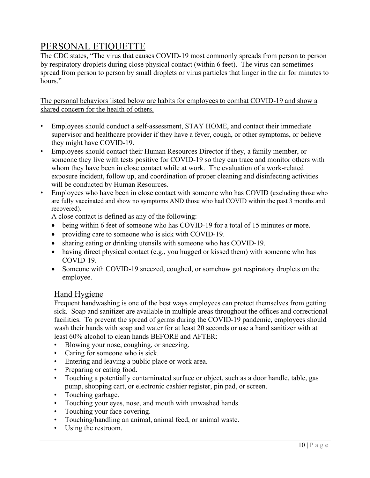# PERSONAL ETIQUETTE

The CDC states, "The virus that causes COVID-19 most commonly spreads from person to person by respiratory droplets during close physical contact (within 6 feet). The virus can sometimes spread from person to person by small droplets or virus particles that linger in the air for minutes to hours."

The personal behaviors listed below are habits for employees to combat COVID-19 and show a shared concern for the health of others.

- Employees should conduct a self-assessment, STAY HOME, and contact their immediate supervisor and healthcare provider if they have a fever, cough, or other symptoms, or believe they might have COVID-19.
- Employees should contact their Human Resources Director if they, a family member, or someone they live with tests positive for COVID-19 so they can trace and monitor others with whom they have been in close contact while at work. The evaluation of a work-related exposure incident, follow up, and coordination of proper cleaning and disinfecting activities will be conducted by Human Resources.
- Employees who have been in close contact with someone who has COVID (excluding those who are fully vaccinated and show no symptoms AND those who had COVID within the past 3 months and recovered).

A close contact is defined as any of the following:

- being within 6 feet of someone who has COVID-19 for a total of 15 minutes or more.
- providing care to someone who is sick with COVID-19.
- sharing eating or drinking utensils with someone who has COVID-19.
- having direct physical contact (e.g., you hugged or kissed them) with someone who has COVID-19.
- Someone with COVID-19 sneezed, coughed, or somehow got respiratory droplets on the employee.

#### Hand Hygiene

Frequent handwashing is one of the best ways employees can protect themselves from getting sick. Soap and sanitizer are available in multiple areas throughout the offices and correctional facilities. To prevent the spread of germs during the COVID-19 pandemic, employees should wash their hands with soap and water for at least 20 seconds or use a hand sanitizer with at least 60% alcohol to clean hands BEFORE and AFTER:

- Blowing your nose, coughing, or sneezing.
- Caring for someone who is sick.
- Entering and leaving a public place or work area.
- Preparing or eating food.
- Touching a potentially contaminated surface or object, such as a door handle, table, gas pump, shopping cart, or electronic cashier register, pin pad, or screen.
- Touching garbage.
- Touching your eyes, nose, and mouth with unwashed hands.
- Touching your face covering.
- Touching/handling an animal, animal feed, or animal waste.
- Using the restroom.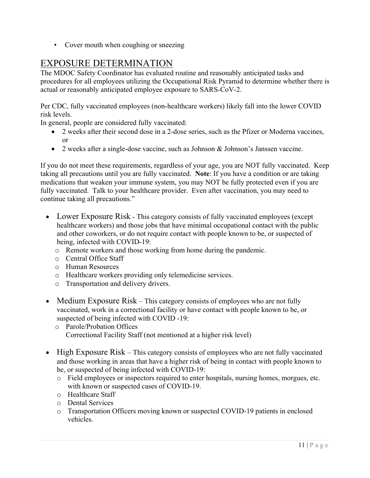• Cover mouth when coughing or sneezing

## EXPOSURE DETERMINATION

The MDOC Safety Coordinator has evaluated routine and reasonably anticipated tasks and procedures for all employees utilizing the Occupational Risk Pyramid to determine whether there is actual or reasonably anticipated employee exposure to SARS-CoV-2.

Per CDC, fully vaccinated employees (non-healthcare workers) likely fall into the lower COVID risk levels.

In general, people are considered fully vaccinated:

- 2 weeks after their second dose in a 2-dose series, such as the Pfizer or Moderna vaccines, or
- 2 weeks after a single-dose vaccine, such as Johnson & Johnson's Janssen vaccine.

If you do not meet these requirements, regardless of your age, you are NOT fully vaccinated. Keep taking all precautions until you are fully vaccinated. **Note**: If you have a condition or are taking medications that weaken your immune system, you may NOT be fully protected even if you are fully vaccinated. Talk to your healthcare provider. Even after vaccination, you may need to continue taking all precautions."

- Lower Exposure Risk This category consists of fully vaccinated employees (except healthcare workers) and those jobs that have minimal occupational contact with the public and other coworkers, or do not require contact with people known to be, or suspected of being, infected with COVID-19:
	- o Remote workers and those working from home during the pandemic.
	- o Central Office Staff
	- o Human Resources
	- o Healthcare workers providing only telemedicine services.
	- o Transportation and delivery drivers.
- Medium Exposure Risk This category consists of employees who are not fully vaccinated, work in a correctional facility or have contact with people known to be, or suspected of being infected with COVID -19:
	- o Parole/Probation Offices Correctional Facility Staff (not mentioned at a higher risk level)
- High Exposure Risk This category consists of employees who are not fully vaccinated and those working in areas that have a higher risk of being in contact with people known to be, or suspected of being infected with COVID-19:
	- o Field employees or inspectors required to enter hospitals, nursing homes, morgues, etc. with known or suspected cases of COVID-19.
	- o Healthcare Staff
	- o Dental Services
	- o Transportation Officers moving known or suspected COVID-19 patients in enclosed vehicles.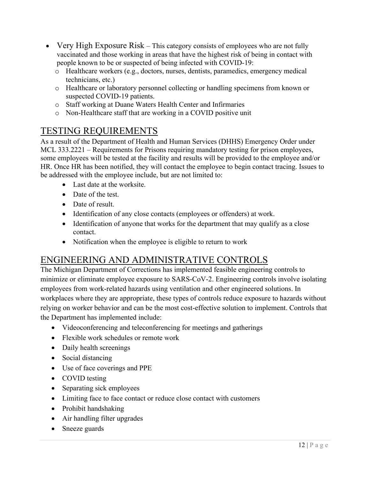- Very High Exposure Risk This category consists of employees who are not fully vaccinated and those working in areas that have the highest risk of being in contact with people known to be or suspected of being infected with COVID-19:
	- o Healthcare workers (e.g., doctors, nurses, dentists, paramedics, emergency medical technicians, etc.)
	- o Healthcare or laboratory personnel collecting or handling specimens from known or suspected COVID-19 patients.
	- o Staff working at Duane Waters Health Center and Infirmaries
	- o Non-Healthcare staff that are working in a COVID positive unit

## TESTING REQUIREMENTS

As a result of the Department of Health and Human Services (DHHS) Emergency Order under MCL 333.2221 – Requirements for Prisons requiring mandatory testing for prison employees, some employees will be tested at the facility and results will be provided to the employee and/or HR. Once HR has been notified, they will contact the employee to begin contact tracing. Issues to be addressed with the employee include, but are not limited to:

- Last date at the worksite.
- Date of the test.
- Date of result.
- Identification of any close contacts (employees or offenders) at work.
- Identification of anyone that works for the department that may qualify as a close contact.
- Notification when the employee is eligible to return to work

# ENGINEERING AND ADMINISTRATIVE CONTROLS

The Michigan Department of Corrections has implemented feasible engineering controls to minimize or eliminate employee exposure to SARS-CoV-2. Engineering controls involve isolating employees from work-related hazards using ventilation and other engineered solutions. In workplaces where they are appropriate, these types of controls reduce exposure to hazards without relying on worker behavior and can be the most cost-effective solution to implement. Controls that the Department has implemented include:

- Videoconferencing and teleconferencing for meetings and gatherings
- Flexible work schedules or remote work
- Daily health screenings
- Social distancing
- Use of face coverings and PPE
- COVID testing
- Separating sick employees
- Limiting face to face contact or reduce close contact with customers
- Prohibit handshaking
- Air handling filter upgrades
- Sneeze guards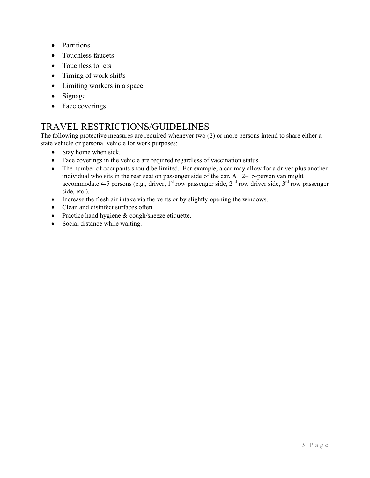- Partitions
- Touchless faucets
- Touchless toilets
- Timing of work shifts
- Limiting workers in a space
- Signage
- Face coverings

## TRAVEL RESTRICTIONS/GUIDELINES

The following protective measures are required whenever two (2) or more persons intend to share either a state vehicle or personal vehicle for work purposes:

- Stay home when sick.
- Face coverings in the vehicle are required regardless of vaccination status.
- The number of occupants should be limited. For example, a car may allow for a driver plus another individual who sits in the rear seat on passenger side of the car. A  $12-15$ -person van might accommodate 4-5 persons (e.g., driver,  $1<sup>st</sup>$  row passenger side,  $2<sup>nd</sup>$  row driver side,  $3<sup>rd</sup>$  row passenger side, etc.).
- Increase the fresh air intake via the vents or by slightly opening the windows.
- Clean and disinfect surfaces often.
- Practice hand hygiene & cough/sneeze etiquette.
- Social distance while waiting.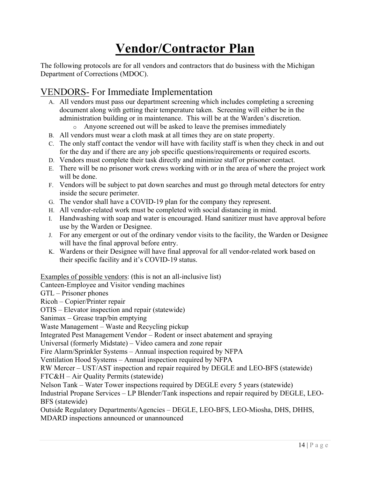# **Vendor/Contractor Plan**

The following protocols are for all vendors and contractors that do business with the Michigan Department of Corrections (MDOC).

# VENDORS- For Immediate Implementation

- A. All vendors must pass our department screening which includes completing a screening document along with getting their temperature taken. Screening will either be in the administration building or in maintenance. This will be at the Warden's discretion.
	- o Anyone screened out will be asked to leave the premises immediately
- B. All vendors must wear a cloth mask at all times they are on state property.
- C. The only staff contact the vendor will have with facility staff is when they check in and out for the day and if there are any job specific questions/requirements or required escorts.
- D. Vendors must complete their task directly and minimize staff or prisoner contact.
- E. There will be no prisoner work crews working with or in the area of where the project work will be done.
- F. Vendors will be subject to pat down searches and must go through metal detectors for entry inside the secure perimeter.
- G. The vendor shall have a COVID-19 plan for the company they represent.
- H. All vendor-related work must be completed with social distancing in mind.
- I. Handwashing with soap and water is encouraged. Hand sanitizer must have approval before use by the Warden or Designee.
- J. For any emergent or out of the ordinary vendor visits to the facility, the Warden or Designee will have the final approval before entry.
- K. Wardens or their Designee will have final approval for all vendor-related work based on their specific facility and it's COVID-19 status.

Examples of possible vendors: (this is not an all-inclusive list)

Canteen-Employee and Visitor vending machines

GTL – Prisoner phones

Ricoh – Copier/Printer repair

OTIS – Elevator inspection and repair (statewide)

Sanimax – Grease trap/bin emptying

Waste Management – Waste and Recycling pickup

Integrated Pest Management Vendor – Rodent or insect abatement and spraying

Universal (formerly Midstate) – Video camera and zone repair

Fire Alarm/Sprinkler Systems – Annual inspection required by NFPA

Ventilation Hood Systems – Annual inspection required by NFPA

RW Mercer – UST/AST inspection and repair required by DEGLE and LEO-BFS (statewide) FTC&H – Air Quality Permits (statewide)

Nelson Tank – Water Tower inspections required by DEGLE every 5 years (statewide)

Industrial Propane Services – LP Blender/Tank inspections and repair required by DEGLE, LEO-BFS (statewide)

Outside Regulatory Departments/Agencies – DEGLE, LEO-BFS, LEO-Miosha, DHS, DHHS, MDARD inspections announced or unannounced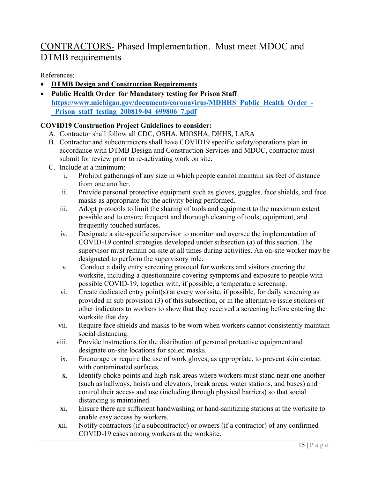# CONTRACTORS- Phased Implementation. Must meet MDOC and DTMB requirements

References:

- **DTMB Design and Construction Requirements**
- **Public Health Order for Mandatory testing for Prison Staff [https://www.michigan.gov/documents/coronavirus/MDHHS\\_Public\\_Health\\_Order\\_-](https://www.michigan.gov/documents/coronavirus/MDHHS_Public_Health_Order_-_Prison_staff_testing_200819-04_699806_7.pdf) [\\_Prison\\_staff\\_testing\\_200819-04\\_699806\\_7.pdf](https://www.michigan.gov/documents/coronavirus/MDHHS_Public_Health_Order_-_Prison_staff_testing_200819-04_699806_7.pdf)**

#### **COVID19 Construction Project Guidelines to consider:**

- A. Contractor shall follow all CDC, OSHA, MIOSHA, DHHS, LARA
- B. Contractor and subcontractors shall have COVID19 specific safety/operations plan in accordance with DTMB Design and Construction Services and MDOC, contractor must submit for review prior to re-activating work on site.
- C. Include at a minimum:
	- i. Prohibit gatherings of any size in which people cannot maintain six feet of distance from one another.
	- ii. Provide personal protective equipment such as gloves, goggles, face shields, and face masks as appropriate for the activity being performed.
	- iii. Adopt protocols to limit the sharing of tools and equipment to the maximum extent possible and to ensure frequent and thorough cleaning of tools, equipment, and frequently touched surfaces.
	- iv. Designate a site-specific supervisor to monitor and oversee the implementation of COVID-19 control strategies developed under subsection (a) of this section. The supervisor must remain on-site at all times during activities. An on-site worker may be designated to perform the supervisory role.
	- v. Conduct a daily entry screening protocol for workers and visitors entering the worksite, including a questionnaire covering symptoms and exposure to people with possible COVID-19, together with, if possible, a temperature screening.
	- vi. Create dedicated entry point(s) at every worksite, if possible, for daily screening as provided in sub provision (3) of this subsection, or in the alternative issue stickers or other indicators to workers to show that they received a screening before entering the worksite that day.
	- vii. Require face shields and masks to be worn when workers cannot consistently maintain social distancing.
	- viii. Provide instructions for the distribution of personal protective equipment and designate on-site locations for soiled masks.
	- ix. Encourage or require the use of work gloves, as appropriate, to prevent skin contact with contaminated surfaces.
	- x. Identify choke points and high-risk areas where workers must stand near one another (such as hallways, hoists and elevators, break areas, water stations, and buses) and control their access and use (including through physical barriers) so that social distancing is maintained.
	- xi. Ensure there are sufficient handwashing or hand-sanitizing stations at the worksite to enable easy access by workers.
	- xii. Notify contractors (if a subcontractor) or owners (if a contractor) of any confirmed COVID-19 cases among workers at the worksite.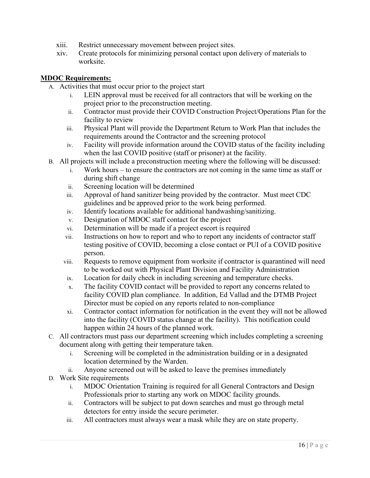- xiii. Restrict unnecessary movement between project sites.
- xiv. Create protocols for minimizing personal contact upon delivery of materials to worksite.

#### **MDOC Requirements:**

- A. Activities that must occur prior to the project start
	- i. LEIN approval must be received for all contractors that will be working on the project prior to the preconstruction meeting.
	- ii. Contractor must provide their COVID Construction Project/Operations Plan for the facility to review
	- iii. Physical Plant will provide the Department Return to Work Plan that includes the requirements around the Contractor and the screening protocol
	- iv. Facility will provide information around the COVID status of the facility including when the last COVID positive (staff or prisoner) at the facility.
- B. All projects will include a preconstruction meeting where the following will be discussed:
	- i. Work hours to ensure the contractors are not coming in the same time as staff or during shift change
	- ii. Screening location will be determined
	- iii. Approval of hand sanitizer being provided by the contractor. Must meet CDC guidelines and be approved prior to the work being performed.
	- iv. Identify locations available for additional handwashing/sanitizing.
	- v. Designation of MDOC staff contact for the project
	- vi. Determination will be made if a project escort is required
	- vii. Instructions on how to report and who to report any incidents of contractor staff testing positive of COVID, becoming a close contact or PUI of a COVID positive person.
	- viii. Requests to remove equipment from worksite if contractor is quarantined will need to be worked out with Physical Plant Division and Facility Administration
	- ix. Location for daily check in including screening and temperature checks.
	- x. The facility COVID contact will be provided to report any concerns related to facility COVID plan compliance. In addition, Ed Vallad and the DTMB Project Director must be copied on any reports related to non-compliance
	- xi. Contractor contact information for notification in the event they will not be allowed into the facility (COVID status change at the facility). This notification could happen within 24 hours of the planned work.
- C. All contractors must pass our department screening which includes completing a screening document along with getting their temperature taken.
	- i. Screening will be completed in the administration building or in a designated location determined by the Warden.
	- ii. Anyone screened out will be asked to leave the premises immediately
- D. Work Site requirements
	- i. MDOC Orientation Training is required for all General Contractors and Design Professionals prior to starting any work on MDOC facility grounds.
	- ii. Contractors will be subject to pat down searches and must go through metal detectors for entry inside the secure perimeter.
	- iii. All contractors must always wear a mask while they are on state property.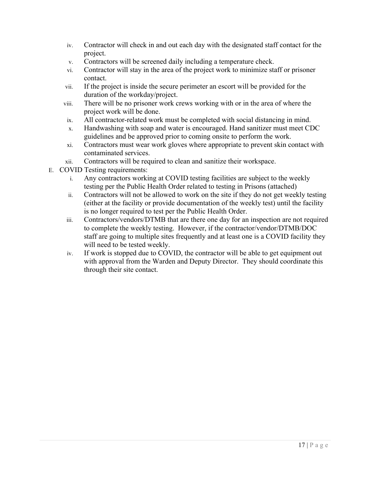- iv. Contractor will check in and out each day with the designated staff contact for the project.
- v. Contractors will be screened daily including a temperature check.
- vi. Contractor will stay in the area of the project work to minimize staff or prisoner contact.
- vii. If the project is inside the secure perimeter an escort will be provided for the duration of the workday/project.
- viii. There will be no prisoner work crews working with or in the area of where the project work will be done.
- ix. All contractor-related work must be completed with social distancing in mind.
- x. Handwashing with soap and water is encouraged. Hand sanitizer must meet CDC guidelines and be approved prior to coming onsite to perform the work.
- xi. Contractors must wear work gloves where appropriate to prevent skin contact with contaminated services.
- xii. Contractors will be required to clean and sanitize their workspace.
- E. COVID Testing requirements:
	- i. Any contractors working at COVID testing facilities are subject to the weekly testing per the Public Health Order related to testing in Prisons (attached)
	- ii. Contractors will not be allowed to work on the site if they do not get weekly testing (either at the facility or provide documentation of the weekly test) until the facility is no longer required to test per the Public Health Order.
	- iii. Contractors/vendors/DTMB that are there one day for an inspection are not required to complete the weekly testing. However, if the contractor/vendor/DTMB/DOC staff are going to multiple sites frequently and at least one is a COVID facility they will need to be tested weekly.
	- iv. If work is stopped due to COVID, the contractor will be able to get equipment out with approval from the Warden and Deputy Director. They should coordinate this through their site contact.